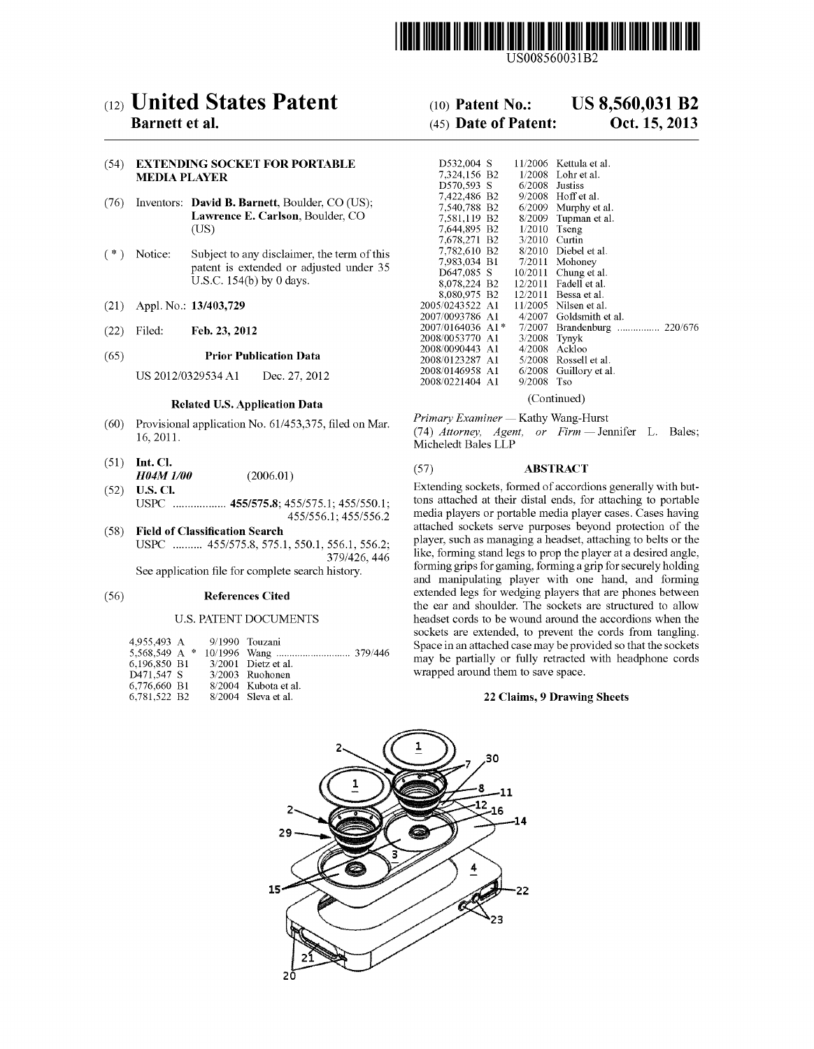

US008560031B2

# (12) United States Patent

# **Barnett et al.**

### (54) EXTENDING SOCKET FOR PORTABLE **MEDIA PLAYER**

- (76) Inventors: David B. Barnett, Boulder, CO (US); Lawrence E. Carlson, Boulder, CO  $(US)$
- Subject to any disclaimer, the term of this  $(* )$  Notice: patent is extended or adjusted under 35 U.S.C. 154(b) by 0 days.
- Appl. No.: 13/403,729  $(21)$
- $(22)$ Filed: Feb. 23, 2012

#### $(65)$ **Prior Publication Data**

US 2012/0329534 A1 Dec. 27, 2012

#### **Related U.S. Application Data**

- (60) Provisional application No. 61/453,375, filed on Mar. 16, 2011.
- $(51)$  Int. Cl. H04M 1/00  $(2006.01)$
- U.S. Cl.  $(52)$ USPC .................. 455/575.8; 455/575.1; 455/550.1; 455/556.1; 455/556.2
- (58) Field of Classification Search USPC .......... 455/575.8, 575.1, 550.1, 556.1, 556.2; 379/426, 446

See application file for complete search history.

#### $(56)$ **References Cited**

### **U.S. PATENT DOCUMENTS**

| 4.955.493 A 9/1990 Touzani |  |                       |
|----------------------------|--|-----------------------|
| 5,568,549 A $*$            |  |                       |
| 6.196.850 B1               |  | $3/2001$ Dietz et al. |
| D471.547 S                 |  | $3/2003$ Ruohonen     |
| 6.776.660 B1               |  | 8/2004 Kubota et al.  |
| 6,781,522 B2               |  | $8/2004$ Sleva et al. |

#### **US 8,560,031 B2**  $(10)$  Patent No.:

#### (45) Date of Patent: Oct. 15, 2013

| D532,004 S       | 11/2006 | Kettula et al.       |
|------------------|---------|----------------------|
| 7.324.156 B2     | 1/2008  | Lohr et al.          |
| D570.593 S       | 6/2008  | Justiss              |
| 7,422,486 B2     | 9/2008  | Hoff et al.          |
| 7.540.788 B2     | 6/2009  | Murphy et al.        |
| 7.581.119 B2     | 8/2009  | Tupman et al.        |
| 7,644,895 B2     | 1/2010  | Tseng                |
| 7,678,271 B2     | 3/2010  | Curtin               |
| 7,782,610 B2     | 8/2010  | Diebel et al.        |
| 7.983.034 B1     | 7/2011  | Mohoney              |
| D647.085 S       | 10/2011 | Chung et al.         |
| 8,078,224 B2     | 12/2011 | Fadell et al.        |
| 8.080.975 B2     | 12/2011 | Bessa et al.         |
| 2005/0243522 A1  | 11/2005 | Nilsen et al.        |
| 2007/0093786 A1  | 4/2007  | Goldsmith et al.     |
| 2007/0164036 A1* | 7/2007  | Brandenburg  220/676 |
| 2008/0053770 A1  | 3/2008  | Tynyk                |
| 2008/0090443 A1  | 4/2008  | Ackloo               |
| 2008/0123287 A1  | 5/2008  | Rossell et al.       |
| 2008/0146958 A1  | 6/2008  | Guillory et al.      |
| 2008/0221404 A1  | 9/2008  | Tso                  |
|                  |         |                      |

(Continued)

Primary Examiner - Kathy Wang-Hurst

(74) Attorney, Agent, or Firm - Jennifer L. Bales; Micheledt Bales LLP

#### $(57)$ **ABSTRACT**

Extending sockets, formed of accordions generally with buttons attached at their distal ends, for attaching to portable media players or portable media player cases. Cases having attached sockets serve purposes beyond protection of the player, such as managing a headset, attaching to belts or the like, forming stand legs to prop the player at a desired angle, forming grips for gaming, forming a grip for securely holding and manipulating player with one hand, and forming extended legs for wedging players that are phones between the ear and shoulder. The sockets are structured to allow headset cords to be wound around the accordions when the sockets are extended, to prevent the cords from tangling. Space in an attached case may be provided so that the sockets may be partially or fully retracted with headphone cords wrapped around them to save space.

### 22 Claims, 9 Drawing Sheets

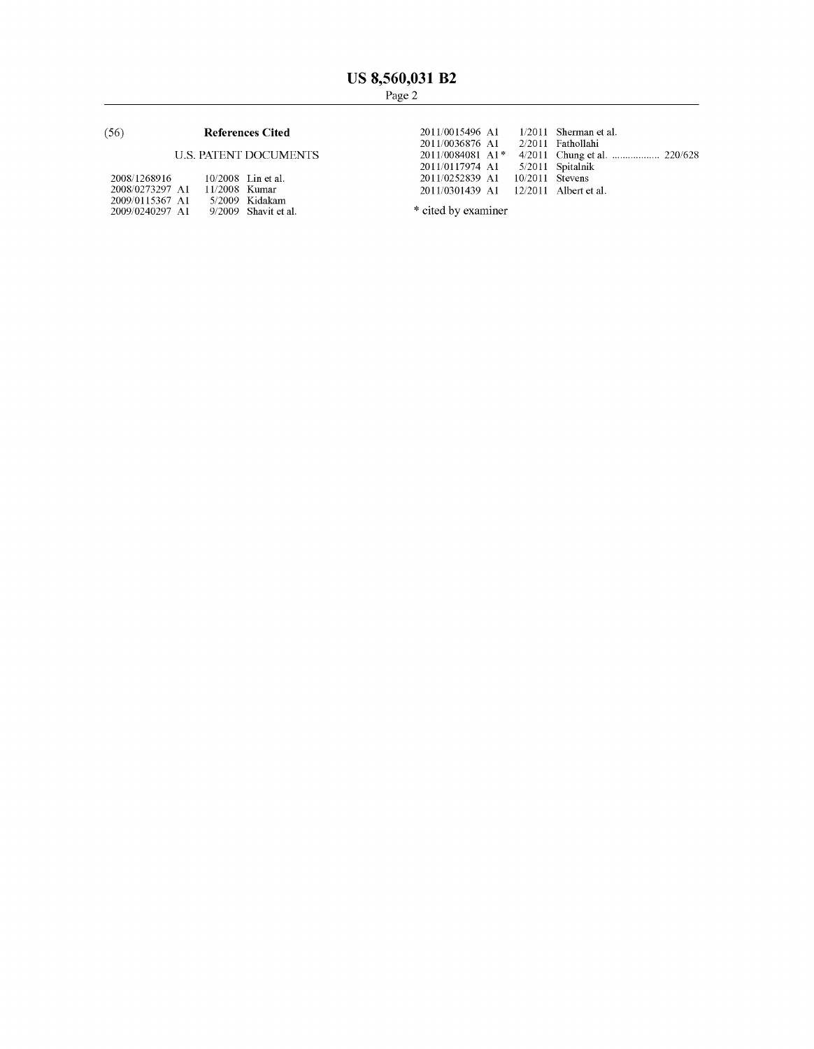# (56) References Cited

# U.S. PATENT DOCUMENTS

| 2008/1268916    |               | $10/2008$ Lin et al.   |
|-----------------|---------------|------------------------|
| 2008/0273297 A1 | 11/2008 Kumar |                        |
| 2009/0115367 A1 |               | 5/2009 Kidakam         |
| 2009/0240297 A1 |               | $9/2009$ Shavit et al. |

2011/0015496 A1 1/2011 2011/0036876 A1 2/2011 2011/0084081 A1\* 4/2011 2011/0117974 A1 5/2011 2011/0252839 A1 10/2011 2011/0301439 A1 12/2011 Albert et al. 1/2011 Sherman et al. 2/2011 Fathollahi Chung et a1. ................ .. 220/628 Spitalnik Stevens

\* cited by examiner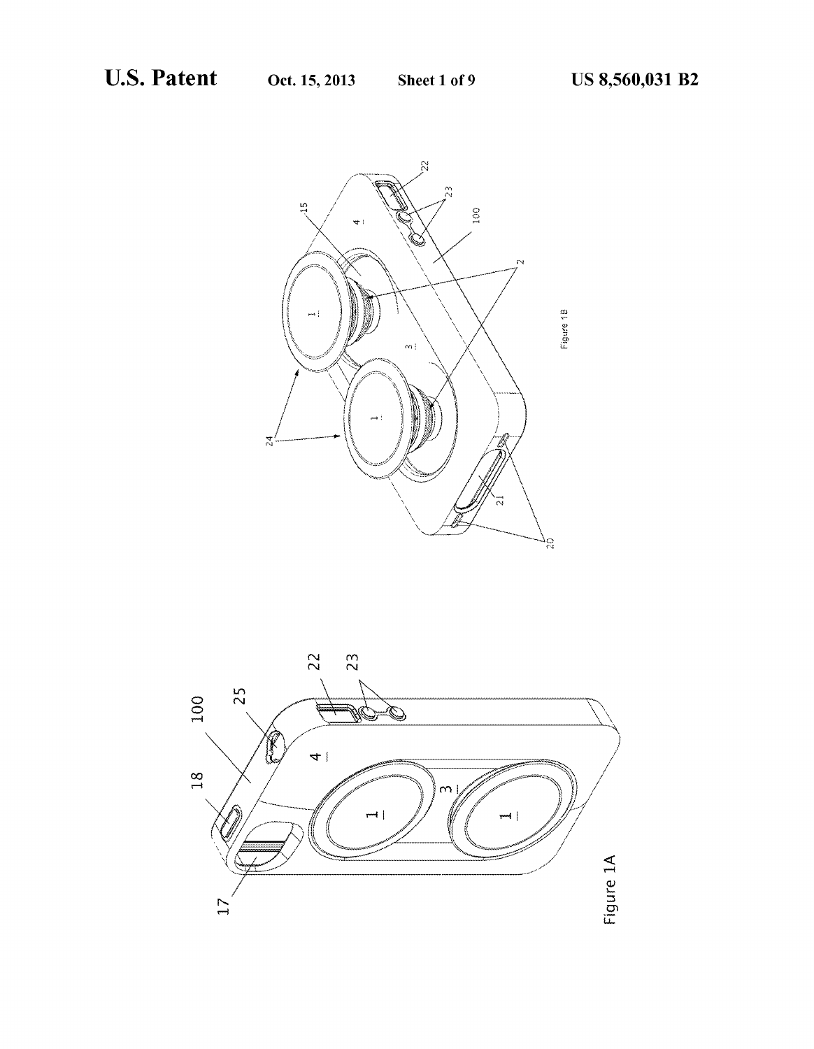

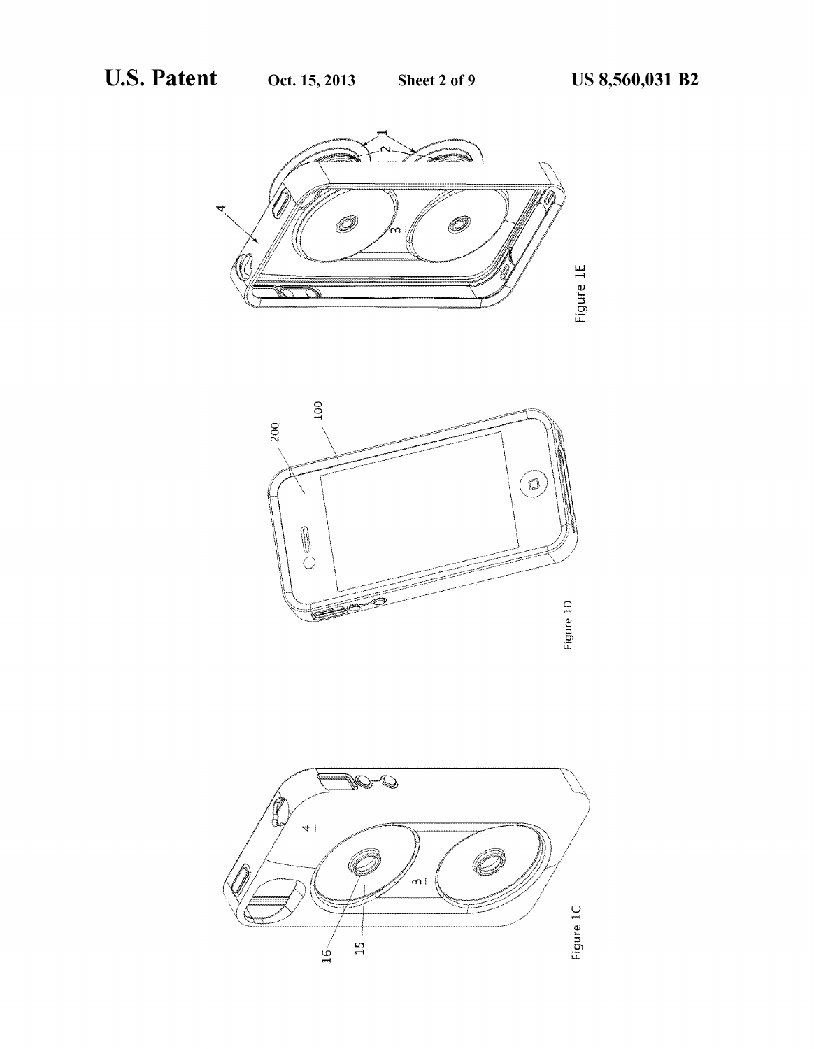



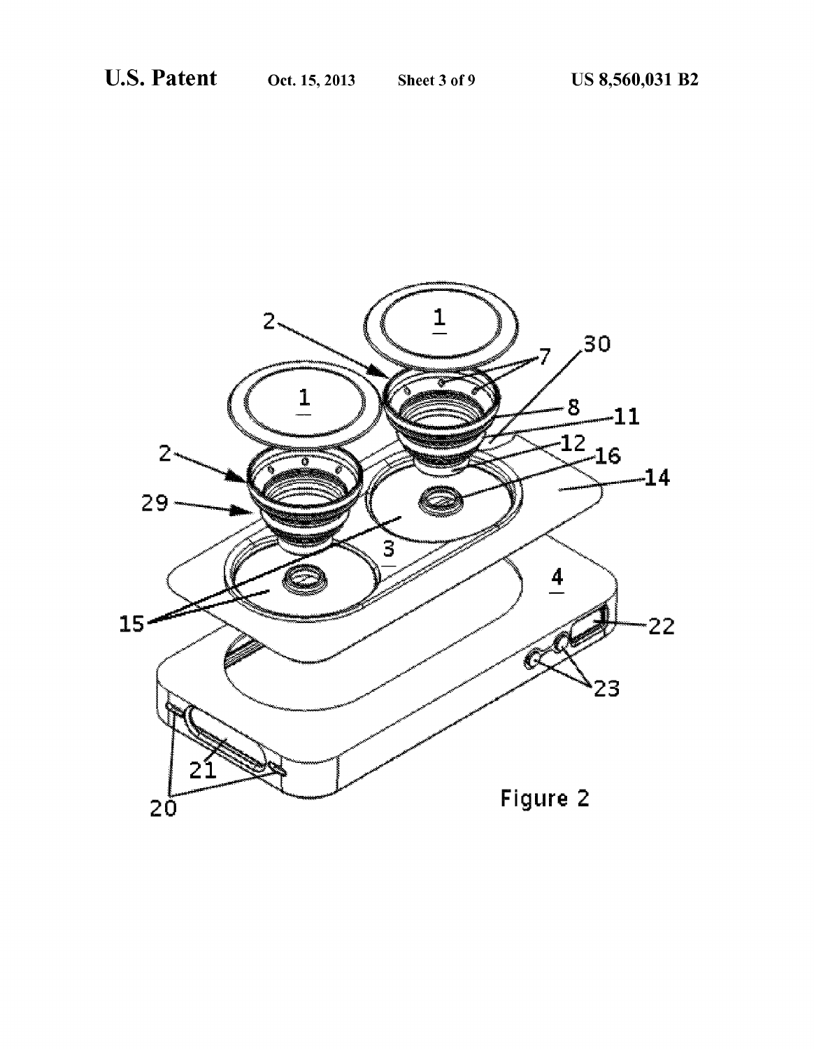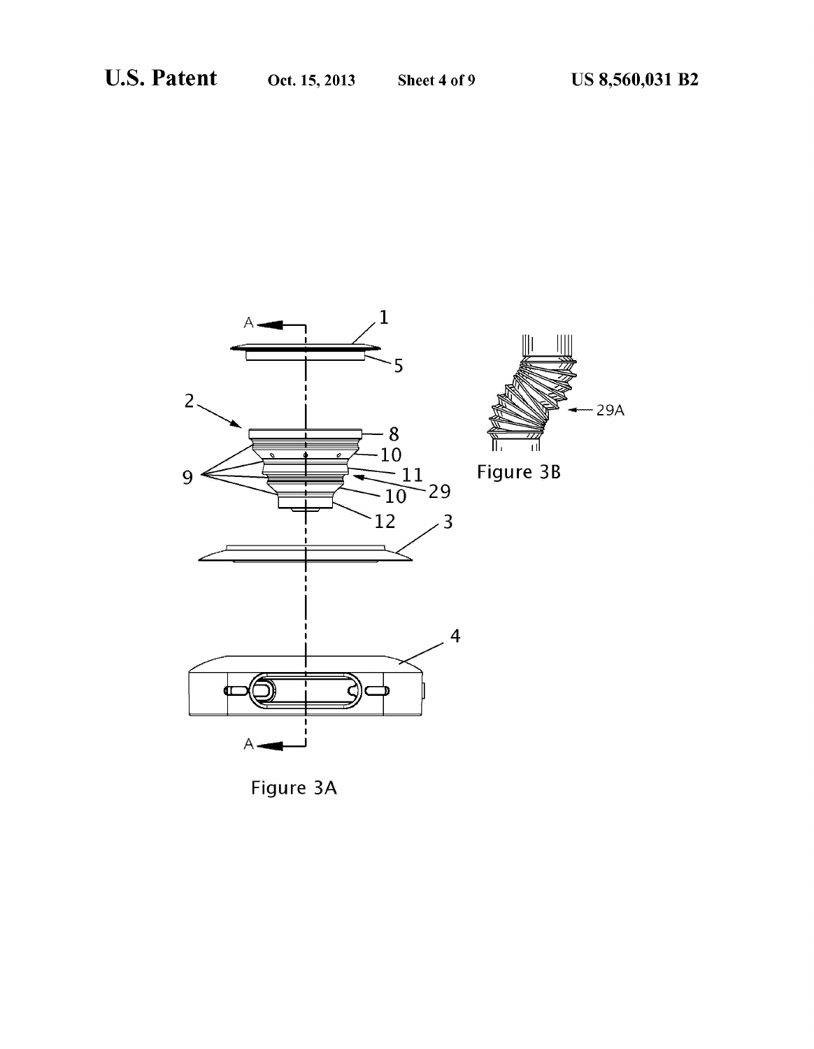$-29A$ 

тI



Figure 3A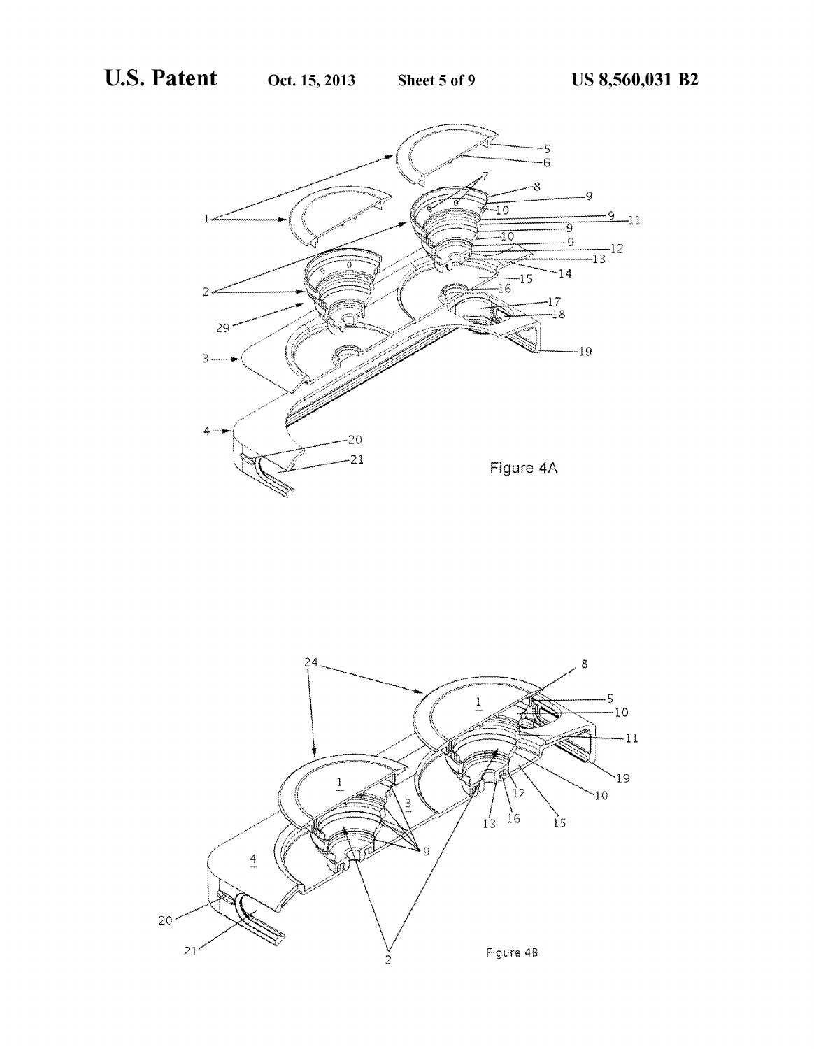

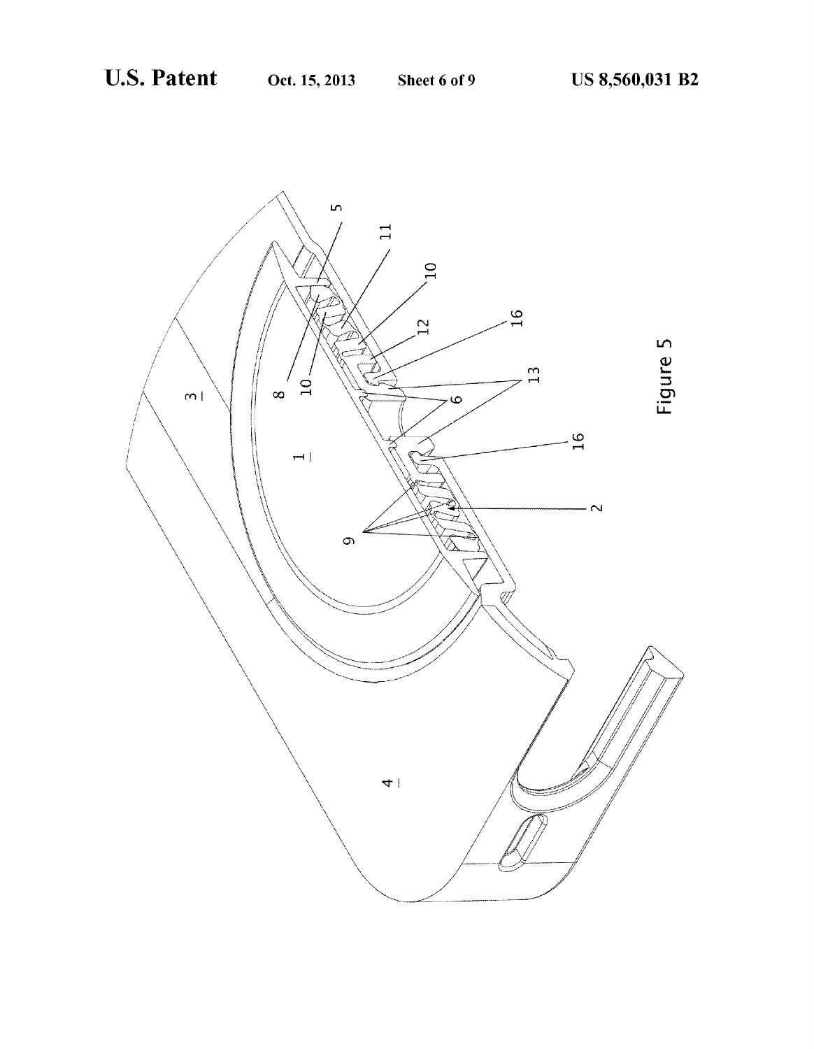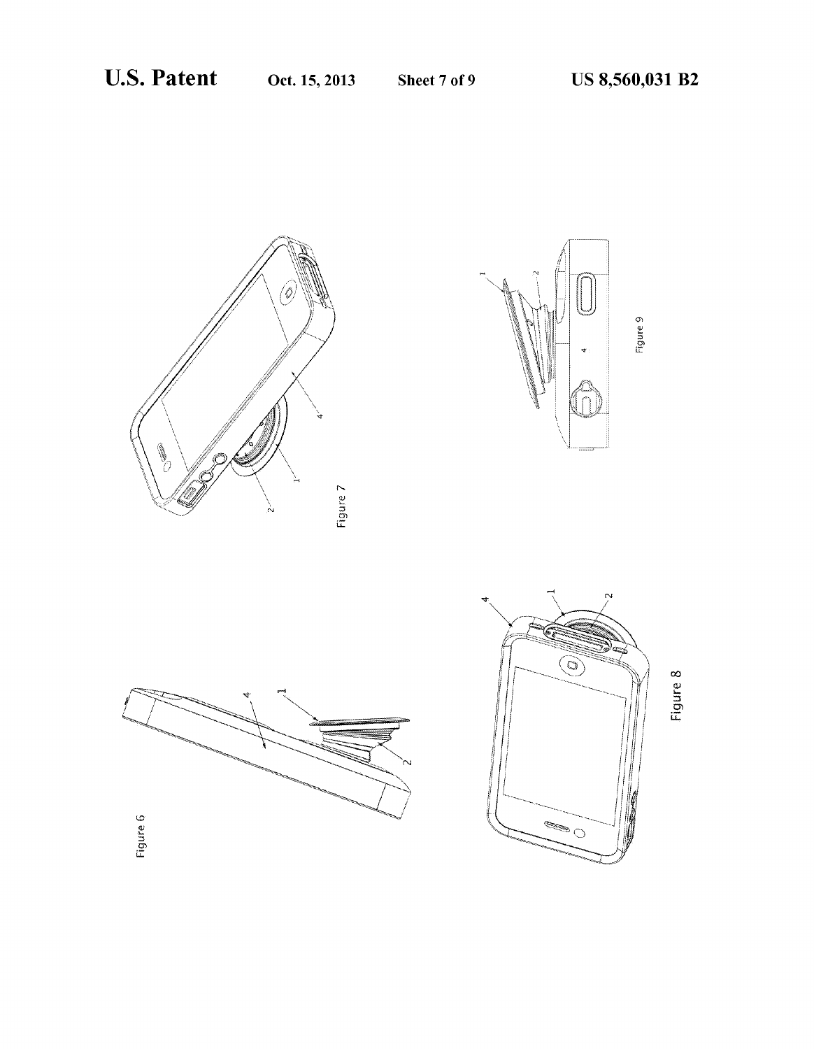Sheet 7 of 9









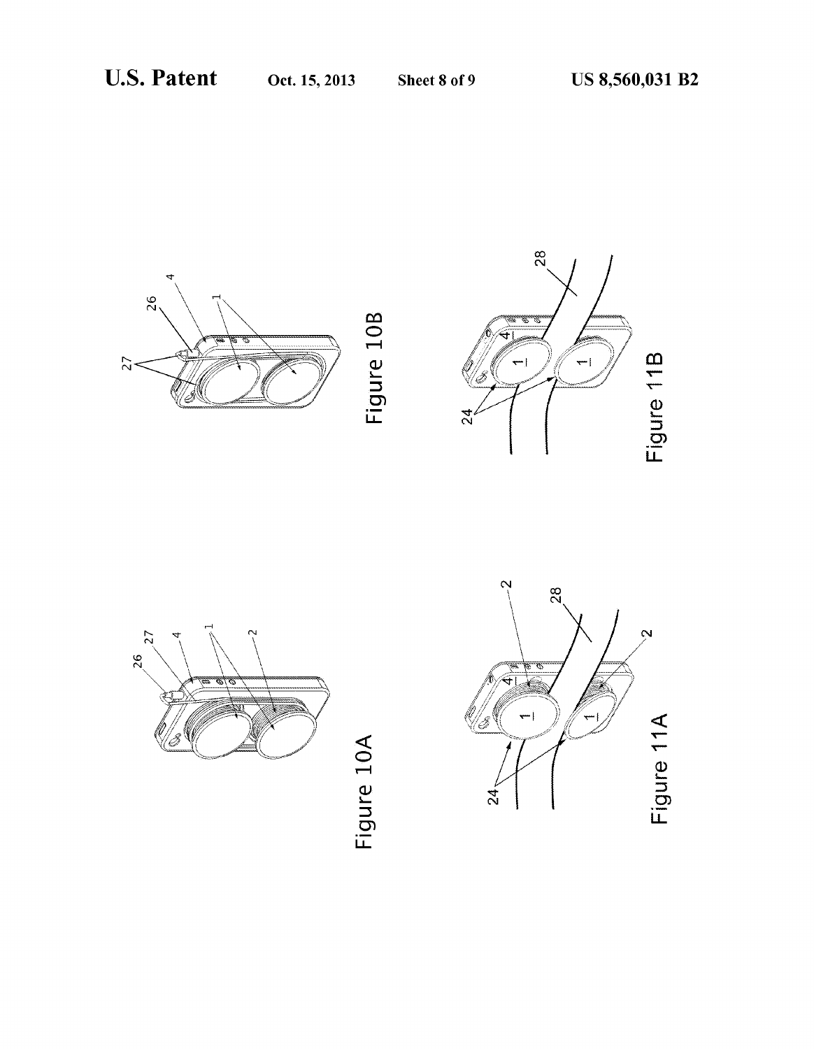





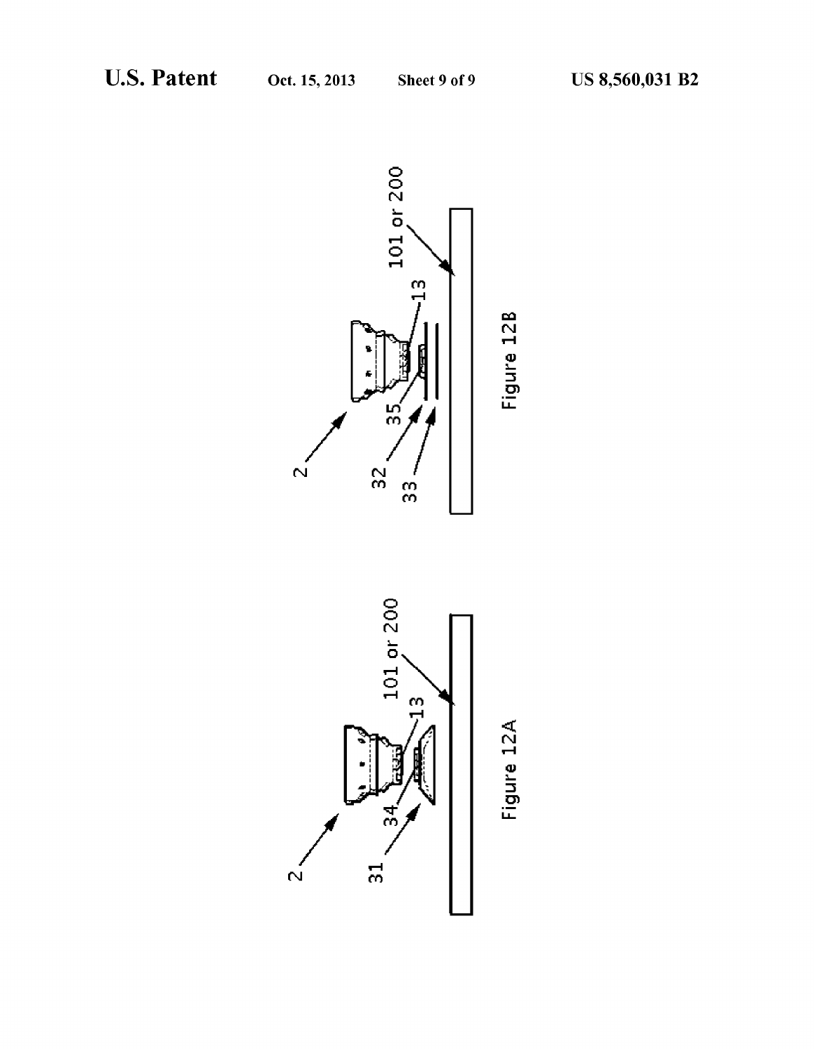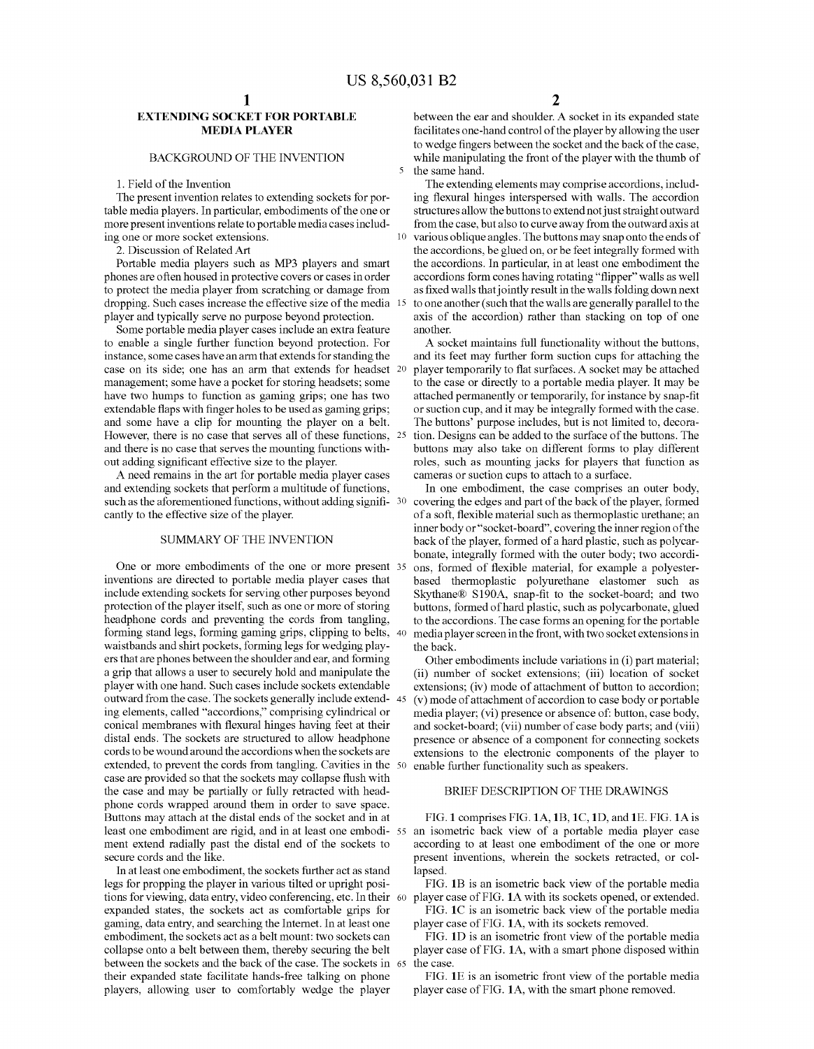$\overline{\mathbf{S}}$ 

10

### EXTENDING SOCKET FOR PORTABLE MEDIA PLAYER

### BACKGROUND OF THE INVENTION

#### 1. Field of the Invention

The present invention relates to extending sockets for por table media players. In particular, embodiments of the one or more present inventions relate to portable media cases includ ing one or more socket extensions.

2. Discussion of RelatedArt

Portable media players such as MP3 players and smart phones are often housed in protective covers or cases in order to protect the media player from scratching or damage from dropping. Such cases increase the effective size of the media 15 player and typically serve no purpose beyond protection.

Some portable media player cases include an extra feature to enable a single further function beyond protection. For instance, some cases have an arm that extends for standing the case on its side; one has an arm that extends for headset 20 management; some have a pocket for storing headsets; some have two humps to function as gaming grips; one has two extendable flaps with finger holes to be used as gaming grips; and some have a clip for mounting the player on a belt. HoWever, there is no case that serves all of these functions, 25 and there is no case that serves the mounting functions With out adding significant effective size to the player.

A need remains in the art for portable media player cases and extending sockets that perform a multitude of functions, such as the aforementioned functions, without adding signifi-  $30<sup>°</sup>$ cantly to the effective size of the player.

## SUMMARY OF THE INVENTION

One or more embodiments of the one or more present 35 inventions are directed to portable media player cases that include extending sockets for serving other purposes beyond protection of the player itself, such as one or more of storing headphone cords and preventing the cords from tangling, forming stand legs, forming gaming grips, clipping to belts, 40 Waistbands and shirt pockets, forming legs for Wedging play ers that are phones betWeen the shoulder and ear, and forming a grip that alloWs a user to securely hold and manipulate the player With one hand. Such cases include sockets extendable outward from the case. The sockets generally include extend- 45 ing elements, called "accordions," comprising cylindrical or conical membranes with flexural hinges having feet at their distal ends. The sockets are structured to allow headphone cords to be Wound around the accordions When the sockets are extended, to prevent the cords from tangling. Cavities in the 50 case are provided so that the sockets may collapse flush with the case and may be partially or fully retracted With head phone cords Wrapped around them in order to save space. Buttons may attach at the distal ends of the socket and in at ment extend radially past the distal end of the sockets to secure cords and the like.

In at least one embodiment, the sockets further act as stand legs for propping the player in various tilted or upright posi tions for vieWing, data entry, video conferencing, etc. In their 60 expanded states, the sockets act as comfortable grips for gaming, data entry, and searching the Internet. In at least one embodiment, the sockets act as a belt mount: two sockets can collapse onto a belt between them, thereby securing the belt betWeen the sockets and the back of the case. The sockets in 65 their expanded state facilitate hands-free talking on phone players, alloWing user to comfortably Wedge the player

between the ear and shoulder. A socket in its expanded state facilitates one-hand control of the player by allowing the user to wedge fingers between the socket and the back of the case, while manipulating the front of the player with the thumb of the same hand.

The extending elements may comprise accordions, includ ing flexural hinges interspersed with walls. The accordion structures allow the buttons to extend not just straight outward from the case, but also to curve away from the outward axis at various oblique angles. The buttons may snap onto the ends of the accordions, be glued on, or be feet integrally formed With the accordions. In particular, in at least one embodiment the accordions form cones having rotating "flipper" walls as well as fixed walls that jointly result in the walls folding down next to one another (such that the Walls are generally parallel to the axis of the accordion) rather than stacking on top of one another.

A socket maintains full functionality Without the buttons, and its feet may further form suction cups for attaching the player temporarily to flat surfaces. A socket may be attached to the case or directly to a portable media player. It may be attached permanently or temporarily, for instance by snap-fit or suction cup, and it may be integrally formed With the case. The buttons' purpose includes, but is not limited to, decora tion. Designs can be added to the surface of the buttons. The buttons may also take on different forms to play different roles, such as mounting jacks for players that function as cameras or suction cups to attach to a surface.

In one embodiment, the case comprises an outer body, covering the edges and part of the back of the player, formed of a soft, flexible material such as thermoplastic urethane; an inner body or "socket-board", covering the inner region of the back of the player, formed of a hard plastic, such as polycar bonate, integrally formed with the outer body; two accordions, formed of flexible material, for example a polyesterbased thermoplastic polyurethane elastomer such as Skythane® S190A, snap-fit to the socket-board; and two buttons, formed of hard plastic, such as polycarbonate, glued to the accordions. The case forms an opening for the portable media player screen in the front, With tWo socket extensions in the back.

Other embodiments include variations in (i) part material; (ii) number of socket extensions; (iii) location of socket extensions; (iv) mode of attachment of button to accordion; (v) mode of attachment of accordion to case body or portable media player; (vi) presence or absence of: button, case body, and socket-board; (vii) number of case body parts; and (viii) presence or absence of a component for connecting sockets extensions to the electronic components of the player to enable further functionality such as speakers.

#### BRIEF DESCRIPTION OF THE DRAWINGS

least one embodiment are rigid, and in at least one embodi-55 an isometric back view of a portable media player case FIG. 1 comprises FIG. 1A,1B, 1C, 1D, and 1E. FIG. 1A is according to at least one embodiment of the one or more present inventions, Wherein the sockets retracted, or col lapsed.

> FIG. 1B is an isometric back view of the portable media player case of FIG. 1A With its sockets opened, or extended.

> FIG. 1C is an isometric back vieW of the portable media player case of FIG. 1A, With its sockets removed.

> FIG. 1D is an isometric front vieW of the portable media player case of FIG. 1A, With a smart phone disposed Within the case.

> FIG. 1E is an isometric front view of the portable media player case of FIG. 1A, With the smart phone removed.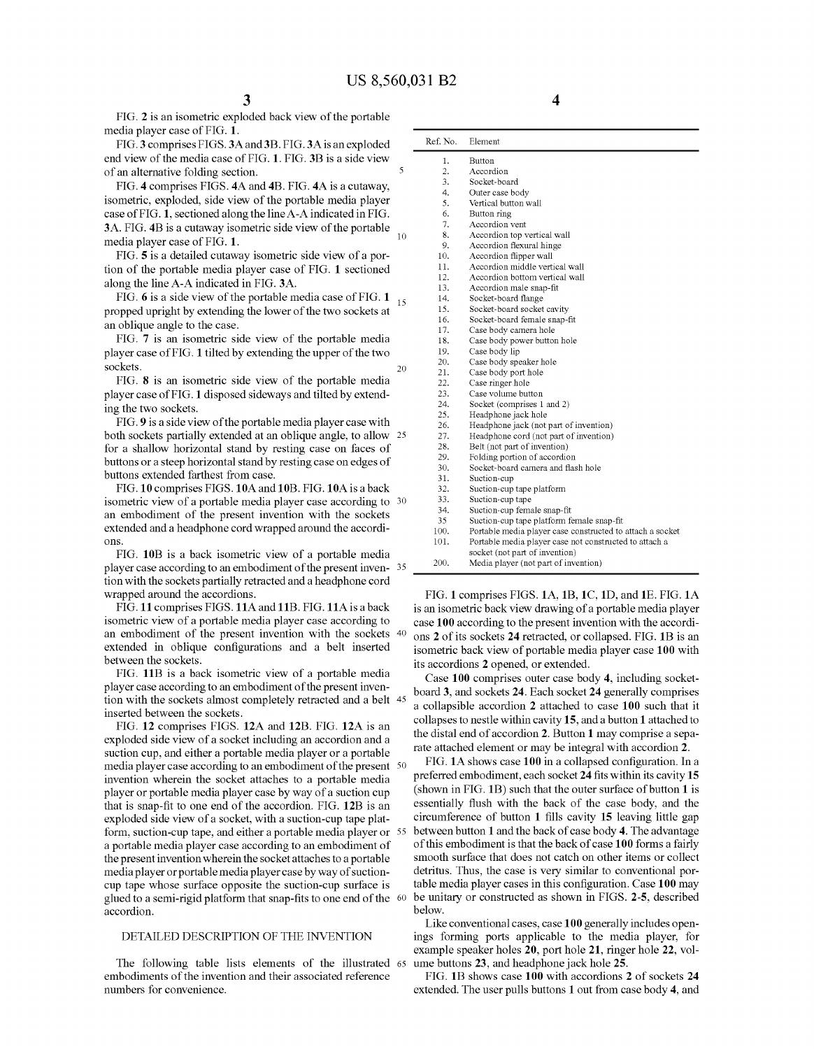FIG. 2 is an isometric exploded back view of the portable media player case of FIG. 1.

FIG. 3 comprises FIGS. 3A and 3B. FIG. 3A is an exploded end vieW of the media case of FIG. 1. FIG. 3B is a side vieW of an alternative folding section.

FIG. 4 comprises FIGS. 4A and 4B. FIG. 4A is a cutaway, isometric, exploded, side vieW of the portable media player case of FIG. 1, sectioned along the lineA-A indicated in FIG. 3A. FIG. 4B is a cutaway isometric side view of the portable media player case of FIG. 1.

FIG. 5 is a detailed cutaway isometric side view of a portion of the portable media player case of FIG. 1 sectioned along the line A-A indicated in FIG. 3A.

FIG. 6 is a side view of the portable media case of FIG. 1  $_{15}$ propped upright by extending the lower of the two sockets at an oblique angle to the case.

FIG. 7 is an isometric side vieW of the portable media player case of FIG. 1 tilted by extending the upper of the two sockets. 20

FIG. 8 is an isometric side vieW of the portable media player case of FIG. 1 disposed sideways and tilted by extending the tWo sockets.

FIG. 9 is a side view of the portable media player case with both sockets partially extended at an oblique angle, to alloW 25 for a shallow horizontal stand by resting case on faces of buttons or a steep horizontal stand by resting case on edges of buttons extended farthest from case.

FIG. 10 comprises FIGS. 10A and 10B. FIG. 10A is a back isometric vieW of a portable media player case according to 30 an embodiment of the present invention With the sockets extended and a headphone cord Wrapped around the accordi ons.

FIG. 10B is a back isometric vieW of a portable media player case according to an embodiment of the present inven-35 tion With the sockets partially retracted and a headphone cord Wrapped around the accordions.

FIG. 11 comprises FIGS. 11A and 11B. FIG. 11A is a back isometric vieW of a portable media player case according to an embodiment of the present invention With the sockets 40 extended in oblique configurations and a belt inserted between the sockets.

FIG. 11B is a back isometric vieW of a portable media player case according to an embodiment of the present inven tion With the sockets almost completely retracted and a belt 45 inserted between the sockets.

FIG. 12 comprises FIGS. 12A and 12B. FIG. 12A is an exploded side view of a socket including an accordion and a suction cup, and either a portable media player or a portable media player case according to an embodiment of the present 50 invention Wherein the socket attaches to a portable media player or portable media player case by Way of a suction cup that is snap-fit to one end of the accordion. FIG. 12B is an exploded side vieW of a socket, With a suction-cup tape plat form, suction-cup tape, and either a portable media player or 55 a portable media player case according to an embodiment of the present invention Wherein the socket attaches to a portable media player or portable media player case by Way of suction cup tape Whose surface opposite the suction-cup surface is glued to a semi-rigid platform that snap-fits to one end of the  $\sqrt[6]{60}$ accordion.

### DETAILED DESCRIPTION OF THE INVENTION

The folloWing table lists elements of the illustrated 65 embodiments of the invention and their associated reference numbers for convenience.

| Ref. No.         | Element                                                   |  |  |  |
|------------------|-----------------------------------------------------------|--|--|--|
| 1.               | Button                                                    |  |  |  |
| $\overline{2}$ . | Accordion                                                 |  |  |  |
| 3.               | Socket-board                                              |  |  |  |
| 4.               | Outer case body                                           |  |  |  |
| 5.               | Vertical button wall                                      |  |  |  |
| 6.               | Button ring                                               |  |  |  |
| 7.               | Accordion vent                                            |  |  |  |
| 8.               | Accordion top vertical wall                               |  |  |  |
| 9.               | Accordion flexural hinge                                  |  |  |  |
| 10.              | Accordion flipper wall                                    |  |  |  |
| 11.              | Accordion middle vertical wall                            |  |  |  |
| 12.              | Accordion bottom vertical wall                            |  |  |  |
| 13.              | Accordion male snap-fit                                   |  |  |  |
| 14.              | Socket-board flange                                       |  |  |  |
| 15.              | Socket-board socket cavity                                |  |  |  |
| 16.              | Socket-board female snap-fit                              |  |  |  |
| 17.              | Case body camera hole                                     |  |  |  |
| 18.              | Case body power button hole                               |  |  |  |
| 19.              | Case body lip                                             |  |  |  |
| 20.              | Case body speaker hole                                    |  |  |  |
| 21.              | Case body port hole                                       |  |  |  |
| 22.              | Case ringer hole                                          |  |  |  |
| 23.              | Case volume button                                        |  |  |  |
| 24.              | Socket (comprises 1 and 2)                                |  |  |  |
| 25.              | Headphone jack hole                                       |  |  |  |
| 26.              | Headphone jack (not part of invention)                    |  |  |  |
| 27.              | Headphone cord (not part of invention)                    |  |  |  |
| 28.              | Belt (not part of invention)                              |  |  |  |
| 29.              | Folding portion of accordion                              |  |  |  |
| 30.              | Socket-board camera and flash hole                        |  |  |  |
| 31.              | Suction-cup                                               |  |  |  |
| 32.              | Suction-cup tape platform                                 |  |  |  |
| 33.              | Suction-cup tape                                          |  |  |  |
| 34.              | Suction-cup female snap-fit                               |  |  |  |
| 35               | Suction-cup tape platform female snap-fit                 |  |  |  |
| 100.             | Portable media player case constructed to attach a socket |  |  |  |
| 101.             | Portable media player case not constructed to attach a    |  |  |  |
|                  | socket (not part of invention)                            |  |  |  |
| 200.             | Media player (not part of invention)                      |  |  |  |

FIG. 1 comprises FIGS. 1A, 1B, 1C, 1D, and 1E. FIG. 1A is an isometric back vieW draWing of a portable media player case 100 according to the present invention With the accordi ons 2 of its sockets 24 retracted, or collapsed. FIG. 1B is an isometric back vieW of portable media player case 100 With its accordions 2 opened, or extended.

Case 100 comprises outer case body 4, including socket board 3, and sockets 24. Each socket 24 generally comprises a collapsible accordion 2 attached to case 100 such that it collapses to nestle Within cavity 15, and a button 1 attached to the distal end of accordion 2. Button 1 may comprise a sepa rate attached element or may be integral With accordion 2.

FIG. 1A shows case 100 in a collapsed configuration. In a preferred embodiment, each socket 24 fits within its cavity 15 (shoWn in FIG. 1B) such that the outer surface of button 1 is essentially flush with the back of the case body, and the circumference of button  $1$  fills cavity  $15$  leaving little gap between button 1 and the back of case body 4. The advantage of this embodiment is that the back of case 100 forms a fairly smooth surface that does not catch on other items or collect detritus. Thus, the case is very similar to conventional por table media player cases in this configuration. Case 100 may be unitary or constructed as shown in FIGS. 2-5, described beloW.

Like conventional cases, case 100 generally includes open ings forming ports applicable to the media player, for example speaker holes 20, port hole 21, ringer hole 22, volume buttons 23, and headphone jack hole 25.

FIG. 1B shows case 100 with accordions 2 of sockets 24 extended. The user pulls buttons 1 out from case body 4, and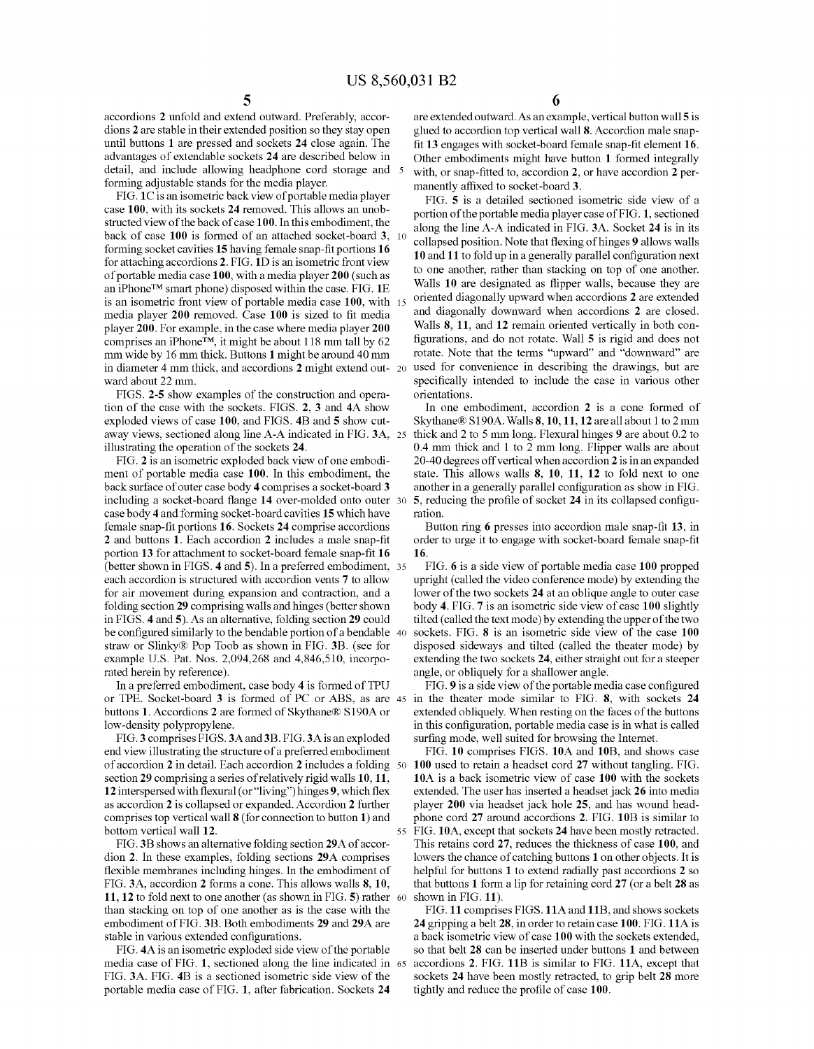55

accordions 2 unfold and extend outward. Preferably, accor dions 2 are stable in their extended position so they stay open until buttons 1 are pressed and sockets 24 close again. The advantages of extendable sockets 24 are described beloW in detail, and include allowing headphone cord storage and forming adjustable stands for the media player.

FIG. 1C is an isometric back vieW of portable media player case 100, with its sockets 24 removed. This allows an unobstructed vieW of the back of case 100. In this embodiment, the back of case 100 is formed of an attached socket-board 3,  $1<sup>c</sup>$ forming socket cavities  $15$  having female snap-fit portions  $16$ for attaching accordions 2. FIG. 1D is an isometric front vieW of portable media case 100, With a media player 200 (such as an iPhone™ smart phone) disposed within the case. FIG. 1E is an isometric front view of portable media case 100, with 15 media player 200 removed. Case 100 is sized to fit media player 200. For example, in the case Where media player 200 comprises an iPhoneTM, it might be about 118 mm tall by 62 mm Wide by 16 mm thick. Buttons 1 might be around 40 mm in diameter 4 mm thick, and accordions  $2$  might extend out- 20 Ward about 22 mm.

FIGS. 2-5 shoW examples of the construction and opera tion of the case With the sockets. FIGS. 2, 3 and 4A shoW exploded views of case 100, and FIGS. 4B and 5 show cutaway views, sectioned along line A-A indicated in FIG. 3A, 25 illustrating the operation of the sockets 24.

FIG. 2 is an isometric exploded back view of one embodiment of portable media case 100. In this embodiment, the back surface of outer case body 4 comprises a socket-board 3 including a socket-board flange 14 over-molded onto outer 30 case body 4 and forming socket-board cavities 15 Which have female snap-fit portions 16. Sockets 24 comprise accordions  $2$  and buttons  $1$ . Each accordion  $2$  includes a male snap-fit portion 13 for attachment to socket-board female snap-fit 16 (better shoWn in FIGS. 4 and 5). In a preferred embodiment, 35 each accordion is structured with accordion vents 7 to allow for air movement during expansion and contraction, and a folding section 29 comprising Walls and hinges (better shoWn in FIGS. 4 and 5). As an alternative, folding section 29 could be configured similarly to the bendable portion of a bendable  $\,$  40  $\,$ straw or Slinky® Pop Toob as shown in FIG. 3B. (see for example US. Pat. Nos. 2,094,268 and 4,846,510, incorpo rated herein by reference).

In a preferred embodiment, case body 4 is formed of TPU or TPE. Socket-board 3 is formed of PC or ABS, as are 45 buttons 1. Accordions 2 are formed of Skythane® S190A or loW-density polypropylene.

FIG. 3 comprises FIGS. 3A and 3B. FIG. 3A is an exploded end view illustrating the structure of a preferred embodiment of accordion 2 in detail. Each accordion 2 includes a folding 50 section 29 comprising a series of relatively rigid walls 10, 11, 12 interspersed with flexural (or "living") hinges 9, which flex as accordion 2 is collapsed or expanded. Accordion 2 further comprises top vertical Wall 8 (for connection to button 1) and bottom vertical Wall 12.

FIG. 3B shoWs an alternative folding section 29A of accor dion 2. In these examples, folding sections 29A comprises flexible membranes including hinges. In the embodiment of FIG. 3A, accordion 2 forms a cone. This allows walls 8, 10, 11, 12 to fold next to one another (as shoWn in FIG. 5) rather 60 than stacking on top of one another as is the case With the embodiment of FIG. 3B. Both embodiments 29 and 29A are stable in various extended configurations.

FIG. 4A is an isometric exploded side view of the portable media case of FIG. 1, sectioned along the line indicated in 65 FIG. 3A. FIG. 4B is a sectioned isometric side vieW of the portable media case of FIG. 1, after fabrication. Sockets 24

 $\overline{6}$  are extended outward. As an example, vertical button wall 5 is glued to accordion top vertical Wall 8. Accordion male snap fit 13 engages with socket-board female snap-fit element 16. Other embodiments might have button 1 formed integrally with, or snap-fitted to, accordion 2, or have accordion 2 permanently affixed to socket-board 3.

FIG. 5 is a detailed sectioned isometric side vieW of a portion of the portable media player case of FIG. 1, sectioned along the line A-A indicated in FIG. 3A. Socket 24 is in its collapsed position. Note that flexing of hinges 9 allows walls 10 and 11 to fold up in a generally parallel configuration next to one another, rather than stacking on top of one another. Walls 10 are designated as flipper walls, because they are oriented diagonally upWard When accordions 2 are extended and diagonally doWnWard When accordions 2 are closed. Walls 8, 11, and 12 remain oriented vertically in both con figurations, and do not rotate. Wall 5 is rigid and does not rotate. Note that the terms "upward" and "downward" are used for convenience in describing the draWings, but are specifically intended to include the case in various other orientations.

In one embodiment, accordion 2 is a cone formed of Skythane® S190A. Walls 8,10,11,12 are all about 1 to 2 mm thick and 2 to 5 mm long. Flexural hinges 9 are about 0.2 to 0.4 mm thick and 1 to 2 mm long. Flipper Walls are about 20-40 degrees off vertical When accordion 2 is in an expanded state. This allows walls 8, 10, 11, 12 to fold next to one another in a generally parallel configuration as show in FIG. 5, reducing the profile of socket 24 in its collapsed configuration.

Button ring 6 presses into accordion male snap-fit 13, in order to urge it to engage with socket-board female snap-fit 16.

FIG. 6 is a side vieW of portable media case 100 propped upright (called the video conference mode) by extending the lower of the two sockets 24 at an oblique angle to outer case body 4. FIG. 7 is an isometric side vieW of case 100 slightly tilted (called the text mode) by extending the upper of the two sockets. FIG. 8 is an isometric side view of the case 100 disposed sideWays and tilted (called the theater mode) by extending the two sockets 24, either straight out for a steeper angle, or obliquely for a shallower angle.

FIG. 9 is a side view of the portable media case configured in the theater mode similar to FIG. 8, With sockets 24 extended obliquely. When resting on the faces of the buttons in this configuration, portable media case is in what is called surfing mode, well suited for browsing the Internet.

FIG. 10 comprises FIGS. 10A and 10B, and shows case 100 used to retain a headset cord 27 Without tangling. FIG. 10A is a back isometric vieW of case 100 With the sockets extended. The user has inserted a headset jack 26 into media player 200 via headset jack hole 25, and has Wound head phone cord 27 around accordions 2. FIG. 10B is similar to FIG. 10A, except that sockets 24 have been mostly retracted. This retains cord 27, reduces the thickness of case 100, and loWers the chance of catching buttons 1 on other objects. It is helpful for buttons 1 to extend radially past accordions 2 so that buttons 1 form a lip for retaining cord 27 (or a belt 28 as shown in FIG. 11).

FIG. 11 comprises FIGS. 11A and 11B, and shows sockets 24 gripping a belt 28, in order to retain case 100. FIG. 11A is a back isometric vieW of case 100 With the sockets extended, so that belt 28 can be inserted under buttons 1 and between accordions 2. FIG. 11B is similar to FIG. 11A, except that sockets 24 have been mostly retracted, to grip belt 28 more tightly and reduce the profile of case 100.